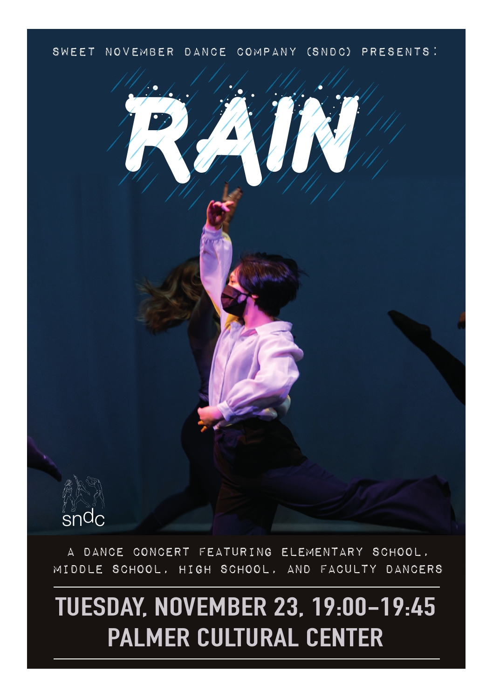### SWEET NOVEMBER DANCE COMPANY (SNDC) PRESENTS:



A DANCE CONCERT FEATURING ELEMENTARY SCHOOL, MIDDLE SCHOOL, HIGH SCHOOL, AND FACULTY DANCERS

# **TUESDAY, NOVEMBER 23, 19:00-19:45 PALMER CULTURAL CENTER**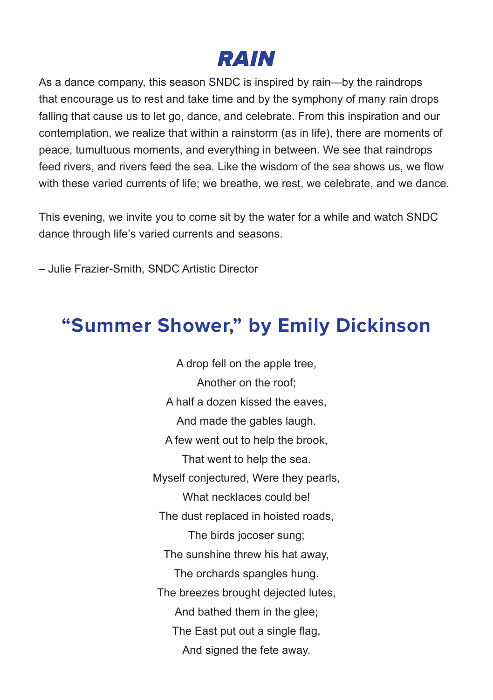### **RAIN**

As a dance company, this season SNDC is inspired by rain—by the raindrops that encourage us to rest and take time and by the symphony of many rain drops falling that cause us to let go, dance, and celebrate. From this inspiration and our contemplation, we realize that within a rainstorm (as in life), there are moments of peace, tumultuous moments, and everything in between. We see that raindrops feed rivers, and rivers feed the sea. Like the wisdom of the sea shows us, we flow with these varied currents of life; we breathe, we rest, we celebrate, and we dance.

This evening, we invite you to come sit by the water for a while and watch SNDC dance through life's varied currents and seasons.

– Julie Frazier-Smith, SNDC Artistic Director

### **"Summer Shower," by Emily Dickinson**

A drop fell on the apple tree, Another on the roof; A half a dozen kissed the eaves, And made the gables laugh. A few went out to help the brook, That went to help the sea. Myself conjectured, Were they pearls, What necklaces could be! The dust replaced in hoisted roads, The birds jocoser sung; The sunshine threw his hat away, The orchards spangles hung. The breezes brought dejected lutes, And bathed them in the glee; The East put out a single flag, And signed the fete away.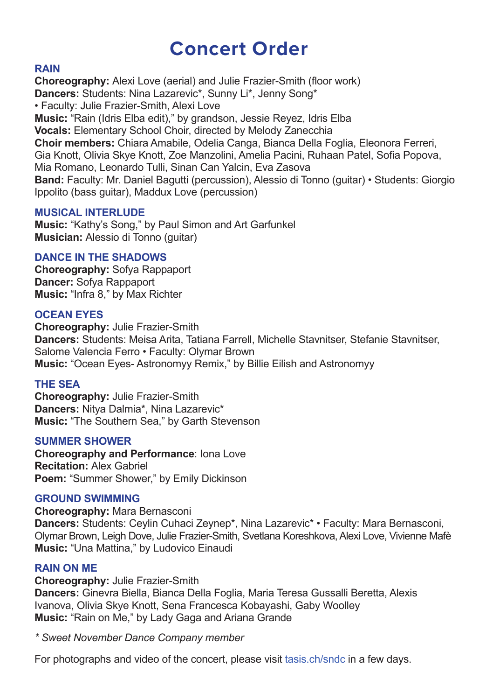### **Concert Order**

#### **RAIN**

**Choreography:** Alexi Love (aerial) and Julie Frazier-Smith (floor work) **Dancers:** Students: Nina Lazarevic\*, Sunny Li\*, Jenny Song\* • Faculty: Julie Frazier-Smith, Alexi Love **Music:** "Rain (Idris Elba edit)," by grandson, Jessie Reyez, Idris Elba **Vocals:** Elementary School Choir, directed by Melody Zanecchia **Choir members:** Chiara Amabile, Odelia Canga, Bianca Della Foglia, Eleonora Ferreri, Gia Knott, Olivia Skye Knott, Zoe Manzolini, Amelia Pacini, Ruhaan Patel, Sofia Popova, Mia Romano, Leonardo Tulli, Sinan Can Yalcin, Eva Zasova **Band:** Faculty: Mr. Daniel Bagutti (percussion), Alessio di Tonno (guitar) • Students: Giorgio Ippolito (bass guitar), Maddux Love (percussion)

#### **MUSICAL INTERLUDE**

**Music:** "Kathy's Song," by Paul Simon and Art Garfunkel **Musician:** Alessio di Tonno (guitar)

#### **DANCE IN THE SHADOWS**

**Choreography:** Sofya Rappaport **Dancer:** Sofya Rappaport **Music:** "Infra 8," by Max Richter

#### **OCEAN EYES**

**Choreography:** Julie Frazier-Smith **Dancers:** Students: Meisa Arita, Tatiana Farrell, Michelle Stavnitser, Stefanie Stavnitser, Salome Valencia Ferro • Faculty: Olymar Brown **Music:** "Ocean Eyes- Astronomyy Remix," by Billie Eilish and Astronomyy

#### **THE SEA**

**Choreography:** Julie Frazier-Smith **Dancers:** Nitya Dalmia\*, Nina Lazarevic\* **Music:** "The Southern Sea," by Garth Stevenson

#### **SUMMER SHOWER**

**Choreography and Performance**: Iona Love **Recitation:** Alex Gabriel **Poem:** "Summer Shower," by Emily Dickinson

#### **GROUND SWIMMING**

**Choreography:** Mara Bernasconi **Dancers:** Students: Ceylin Cuhaci Zeynep\*, Nina Lazarevic\* • Faculty: Mara Bernasconi, Olymar Brown, Leigh Dove, Julie Frazier-Smith, Svetlana Koreshkova, Alexi Love, Vivienne Mafè **Music:** "Una Mattina," by Ludovico Einaudi

#### **RAIN ON ME**

**Choreography:** Julie Frazier-Smith

**Dancers:** Ginevra Biella, Bianca Della Foglia, Maria Teresa Gussalli Beretta, Alexis Ivanova, Olivia Skye Knott, Sena Francesca Kobayashi, Gaby Woolley **Music:** "Rain on Me," by Lady Gaga and Ariana Grande

*\* Sweet November Dance Company member*

For photographs and video of the concert, please visit tasis.ch/sndc in a few days.